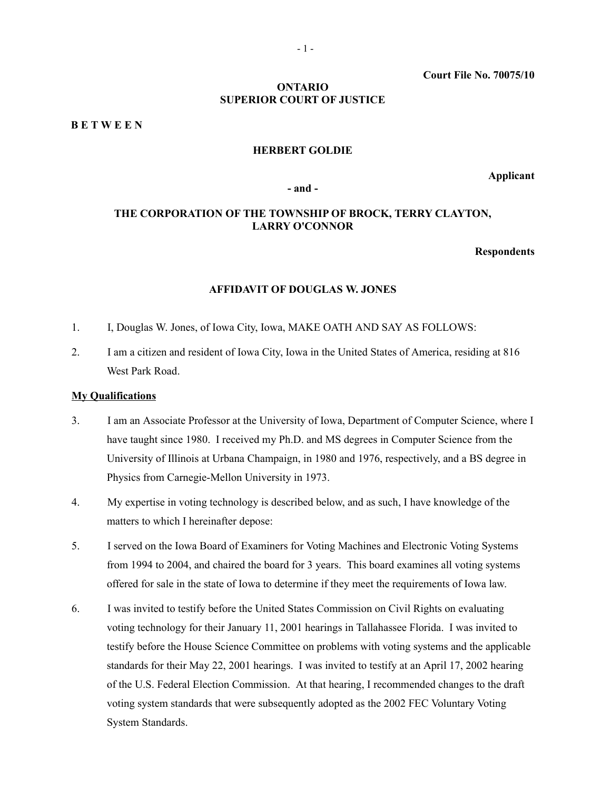**Court File No. 70075/10**

# **ONTARIO SUPERIOR COURT OF JUSTICE**

**B E T W E E N**

### **HERBERT GOLDIE**

**Applicant**

#### **- and -**

# **THE CORPORATION OF THE TOWNSHIP OF BROCK, TERRY CLAYTON, LARRY O'CONNOR**

### **Respondents**

#### **AFFIDAVIT OF DOUGLAS W. JONES**

- 1. I, Douglas W. Jones, of Iowa City, Iowa, MAKE OATH AND SAY AS FOLLOWS:
- 2. I am a citizen and resident of Iowa City, Iowa in the United States of America, residing at 816 West Park Road.

# **My Qualifications**

- 3. I am an Associate Professor at the University of Iowa, Department of Computer Science, where I have taught since 1980. I received my Ph.D. and MS degrees in Computer Science from the University of Illinois at Urbana Champaign, in 1980 and 1976, respectively, and a BS degree in Physics from Carnegie-Mellon University in 1973.
- 4. My expertise in voting technology is described below, and as such, I have knowledge of the matters to which I hereinafter depose:
- 5. I served on the Iowa Board of Examiners for Voting Machines and Electronic Voting Systems from 1994 to 2004, and chaired the board for 3 years. This board examines all voting systems offered for sale in the state of Iowa to determine if they meet the requirements of Iowa law.
- 6. I was invited to testify before the United States Commission on Civil Rights on evaluating voting technology for their January 11, 2001 hearings in Tallahassee Florida. I was invited to testify before the House Science Committee on problems with voting systems and the applicable standards for their May 22, 2001 hearings. I was invited to testify at an April 17, 2002 hearing of the U.S. Federal Election Commission. At that hearing, I recommended changes to the draft voting system standards that were subsequently adopted as the 2002 FEC Voluntary Voting System Standards.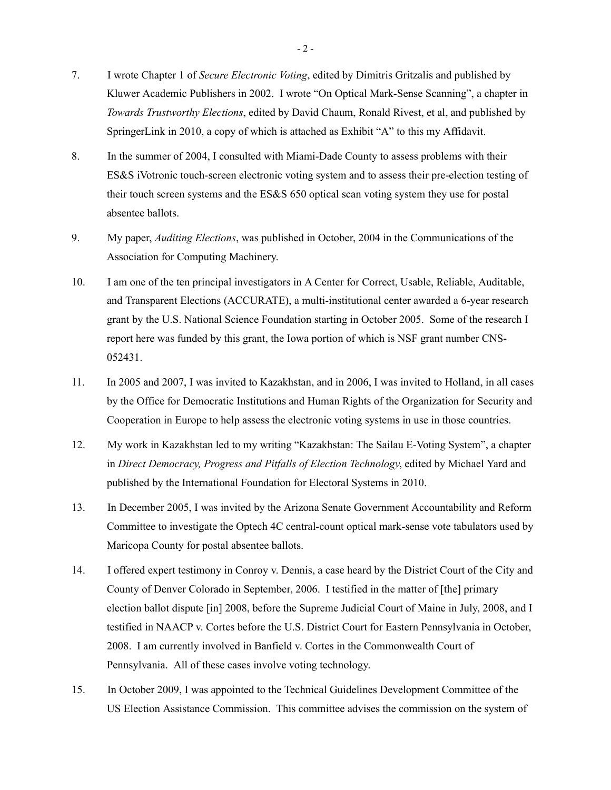- 7. I wrote Chapter 1 of *Secure Electronic Voting*, edited by Dimitris Gritzalis and published by Kluwer Academic Publishers in 2002. I wrote "On Optical Mark-Sense Scanning", a chapter in *Towards Trustworthy Elections*, edited by David Chaum, Ronald Rivest, et al, and published by SpringerLink in 2010, a copy of which is attached as Exhibit "A" to this my Affidavit.
- 8. In the summer of 2004, I consulted with Miami-Dade County to assess problems with their ES&S iVotronic touch-screen electronic voting system and to assess their pre-election testing of their touch screen systems and the ES&S 650 optical scan voting system they use for postal absentee ballots.
- 9. My paper, *Auditing Elections*, was published in October, 2004 in the Communications of the Association for Computing Machinery.
- 10. I am one of the ten principal investigators in A Center for Correct, Usable, Reliable, Auditable, and Transparent Elections (ACCURATE), a multi-institutional center awarded a 6-year research grant by the U.S. National Science Foundation starting in October 2005. Some of the research I report here was funded by this grant, the Iowa portion of which is NSF grant number CNS-052431.
- 11. In 2005 and 2007, I was invited to Kazakhstan, and in 2006, I was invited to Holland, in all cases by the Office for Democratic Institutions and Human Rights of the Organization for Security and Cooperation in Europe to help assess the electronic voting systems in use in those countries.
- 12. My work in Kazakhstan led to my writing "Kazakhstan: The Sailau E-Voting System", a chapter in *Direct Democracy, Progress and Pitfalls of Election Technology*, edited by Michael Yard and published by the International Foundation for Electoral Systems in 2010.
- 13. In December 2005, I was invited by the Arizona Senate Government Accountability and Reform Committee to investigate the Optech 4C central-count optical mark-sense vote tabulators used by Maricopa County for postal absentee ballots.
- 14. I offered expert testimony in Conroy v. Dennis, a case heard by the District Court of the City and County of Denver Colorado in September, 2006. I testified in the matter of [the] primary election ballot dispute [in] 2008, before the Supreme Judicial Court of Maine in July, 2008, and I testified in NAACP v. Cortes before the U.S. District Court for Eastern Pennsylvania in October, 2008. I am currently involved in Banfield v. Cortes in the Commonwealth Court of Pennsylvania. All of these cases involve voting technology.
- 15. In October 2009, I was appointed to the Technical Guidelines Development Committee of the US Election Assistance Commission. This committee advises the commission on the system of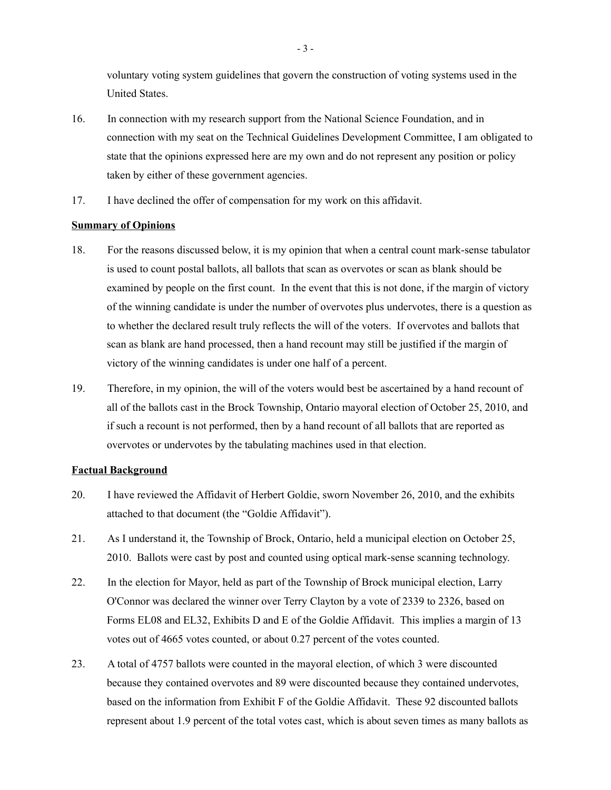voluntary voting system guidelines that govern the construction of voting systems used in the United States.

- 16. In connection with my research support from the National Science Foundation, and in connection with my seat on the Technical Guidelines Development Committee, I am obligated to state that the opinions expressed here are my own and do not represent any position or policy taken by either of these government agencies.
- 17. I have declined the offer of compensation for my work on this affidavit.

# **Summary of Opinions**

- 18. For the reasons discussed below, it is my opinion that when a central count mark-sense tabulator is used to count postal ballots, all ballots that scan as overvotes or scan as blank should be examined by people on the first count. In the event that this is not done, if the margin of victory of the winning candidate is under the number of overvotes plus undervotes, there is a question as to whether the declared result truly reflects the will of the voters. If overvotes and ballots that scan as blank are hand processed, then a hand recount may still be justified if the margin of victory of the winning candidates is under one half of a percent.
- 19. Therefore, in my opinion, the will of the voters would best be ascertained by a hand recount of all of the ballots cast in the Brock Township, Ontario mayoral election of October 25, 2010, and if such a recount is not performed, then by a hand recount of all ballots that are reported as overvotes or undervotes by the tabulating machines used in that election.

# **Factual Background**

- 20. I have reviewed the Affidavit of Herbert Goldie, sworn November 26, 2010, and the exhibits attached to that document (the "Goldie Affidavit").
- 21. As I understand it, the Township of Brock, Ontario, held a municipal election on October 25, 2010. Ballots were cast by post and counted using optical mark-sense scanning technology.
- 22. In the election for Mayor, held as part of the Township of Brock municipal election, Larry O'Connor was declared the winner over Terry Clayton by a vote of 2339 to 2326, based on Forms EL08 and EL32, Exhibits D and E of the Goldie Affidavit. This implies a margin of 13 votes out of 4665 votes counted, or about 0.27 percent of the votes counted.
- 23. A total of 4757 ballots were counted in the mayoral election, of which 3 were discounted because they contained overvotes and 89 were discounted because they contained undervotes, based on the information from Exhibit F of the Goldie Affidavit. These 92 discounted ballots represent about 1.9 percent of the total votes cast, which is about seven times as many ballots as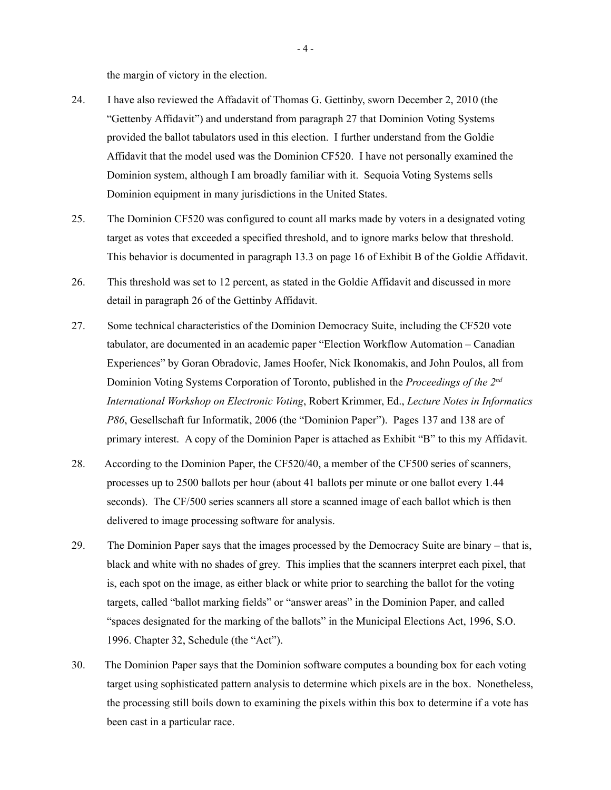the margin of victory in the election.

- 24. I have also reviewed the Affadavit of Thomas G. Gettinby, sworn December 2, 2010 (the "Gettenby Affidavit") and understand from paragraph 27 that Dominion Voting Systems provided the ballot tabulators used in this election. I further understand from the Goldie Affidavit that the model used was the Dominion CF520. I have not personally examined the Dominion system, although I am broadly familiar with it. Sequoia Voting Systems sells Dominion equipment in many jurisdictions in the United States.
- 25. The Dominion CF520 was configured to count all marks made by voters in a designated voting target as votes that exceeded a specified threshold, and to ignore marks below that threshold. This behavior is documented in paragraph 13.3 on page 16 of Exhibit B of the Goldie Affidavit.
- 26. This threshold was set to 12 percent, as stated in the Goldie Affidavit and discussed in more detail in paragraph 26 of the Gettinby Affidavit.
- 27. Some technical characteristics of the Dominion Democracy Suite, including the CF520 vote tabulator, are documented in an academic paper "Election Workflow Automation – Canadian Experiences" by Goran Obradovic, James Hoofer, Nick Ikonomakis, and John Poulos, all from Dominion Voting Systems Corporation of Toronto, published in the *Proceedings of the*  $2^{nd}$ *International Workshop on Electronic Voting*, Robert Krimmer, Ed., *Lecture Notes in Informatics P86*, Gesellschaft fur Informatik, 2006 (the "Dominion Paper"). Pages 137 and 138 are of primary interest. A copy of the Dominion Paper is attached as Exhibit "B" to this my Affidavit.
- 28. According to the Dominion Paper, the CF520/40, a member of the CF500 series of scanners, processes up to 2500 ballots per hour (about 41 ballots per minute or one ballot every 1.44 seconds). The CF/500 series scanners all store a scanned image of each ballot which is then delivered to image processing software for analysis.
- 29. The Dominion Paper says that the images processed by the Democracy Suite are binary that is, black and white with no shades of grey. This implies that the scanners interpret each pixel, that is, each spot on the image, as either black or white prior to searching the ballot for the voting targets, called "ballot marking fields" or "answer areas" in the Dominion Paper, and called "spaces designated for the marking of the ballots" in the Municipal Elections Act, 1996, S.O. 1996. Chapter 32, Schedule (the "Act").
- 30. The Dominion Paper says that the Dominion software computes a bounding box for each voting target using sophisticated pattern analysis to determine which pixels are in the box. Nonetheless, the processing still boils down to examining the pixels within this box to determine if a vote has been cast in a particular race.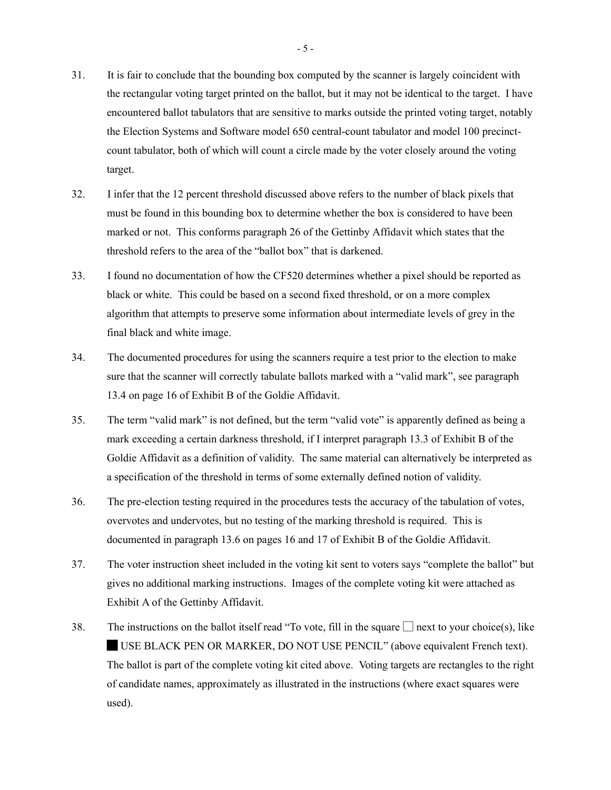- 31. It is fair to conclude that the bounding box computed by the scanner is largely coincident with the rectangular voting target printed on the ballot, but it may not be identical to the target. I have encountered ballot tabulators that are sensitive to marks outside the printed voting target, notably the Election Systems and Software model 650 central-count tabulator and model 100 precinctcount tabulator, both of which will count a circle made by the voter closely around the voting target.
- 32. I infer that the 12 percent threshold discussed above refers to the number of black pixels that must be found in this bounding box to determine whether the box is considered to have been marked or not. This conforms paragraph 26 of the Gettinby Affidavit which states that the threshold refers to the area of the "ballot box" that is darkened.
- 33. I found no documentation of how the CF520 determines whether a pixel should be reported as black or white. This could be based on a second fixed threshold, or on a more complex algorithm that attempts to preserve some information about intermediate levels of grey in the final black and white image.
- 34. The documented procedures for using the scanners require a test prior to the election to make sure that the scanner will correctly tabulate ballots marked with a "valid mark", see paragraph 13.4 on page 16 of Exhibit B of the Goldie Affidavit.
- 35. The term "valid mark" is not defined, but the term "valid vote" is apparently defined as being a mark exceeding a certain darkness threshold, if I interpret paragraph 13.3 of Exhibit B of the Goldie Affidavit as a definition of validity. The same material can alternatively be interpreted as a specification of the threshold in terms of some externally defined notion of validity.
- 36. The pre-election testing required in the procedures tests the accuracy of the tabulation of votes, overvotes and undervotes, but no testing of the marking threshold is required. This is documented in paragraph 13.6 on pages 16 and 17 of Exhibit B of the Goldie Affidavit.
- 37. The voter instruction sheet included in the voting kit sent to voters says "complete the ballot" but gives no additional marking instructions. Images of the complete voting kit were attached as Exhibit A of the Gettinby Affidavit.
- 38. The instructions on the ballot itself read "To vote, fill in the square  $\Box$  next to your choice(s), like █ USE BLACK PEN OR MARKER, DO NOT USE PENCIL" (above equivalent French text). The ballot is part of the complete voting kit cited above. Voting targets are rectangles to the right of candidate names, approximately as illustrated in the instructions (where exact squares were used).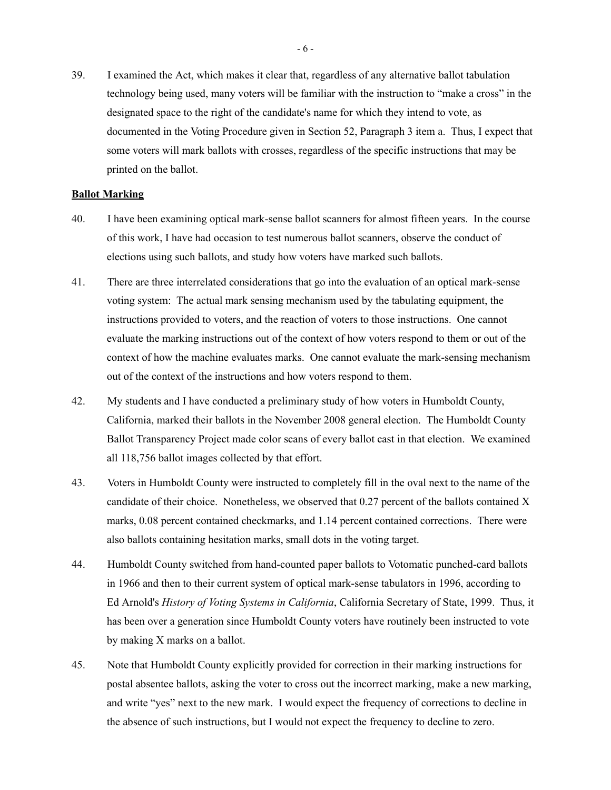39. I examined the Act, which makes it clear that, regardless of any alternative ballot tabulation technology being used, many voters will be familiar with the instruction to "make a cross" in the designated space to the right of the candidate's name for which they intend to vote, as documented in the Voting Procedure given in Section 52, Paragraph 3 item a. Thus, I expect that some voters will mark ballots with crosses, regardless of the specific instructions that may be printed on the ballot.

# **Ballot Marking**

- 40. I have been examining optical mark-sense ballot scanners for almost fifteen years. In the course of this work, I have had occasion to test numerous ballot scanners, observe the conduct of elections using such ballots, and study how voters have marked such ballots.
- 41. There are three interrelated considerations that go into the evaluation of an optical mark-sense voting system: The actual mark sensing mechanism used by the tabulating equipment, the instructions provided to voters, and the reaction of voters to those instructions. One cannot evaluate the marking instructions out of the context of how voters respond to them or out of the context of how the machine evaluates marks. One cannot evaluate the mark-sensing mechanism out of the context of the instructions and how voters respond to them.
- 42. My students and I have conducted a preliminary study of how voters in Humboldt County, California, marked their ballots in the November 2008 general election. The Humboldt County Ballot Transparency Project made color scans of every ballot cast in that election. We examined all 118,756 ballot images collected by that effort.
- 43. Voters in Humboldt County were instructed to completely fill in the oval next to the name of the candidate of their choice. Nonetheless, we observed that 0.27 percent of the ballots contained X marks, 0.08 percent contained checkmarks, and 1.14 percent contained corrections. There were also ballots containing hesitation marks, small dots in the voting target.
- 44. Humboldt County switched from hand-counted paper ballots to Votomatic punched-card ballots in 1966 and then to their current system of optical mark-sense tabulators in 1996, according to Ed Arnold's *History of Voting Systems in California*, California Secretary of State, 1999. Thus, it has been over a generation since Humboldt County voters have routinely been instructed to vote by making X marks on a ballot.
- 45. Note that Humboldt County explicitly provided for correction in their marking instructions for postal absentee ballots, asking the voter to cross out the incorrect marking, make a new marking, and write "yes" next to the new mark. I would expect the frequency of corrections to decline in the absence of such instructions, but I would not expect the frequency to decline to zero.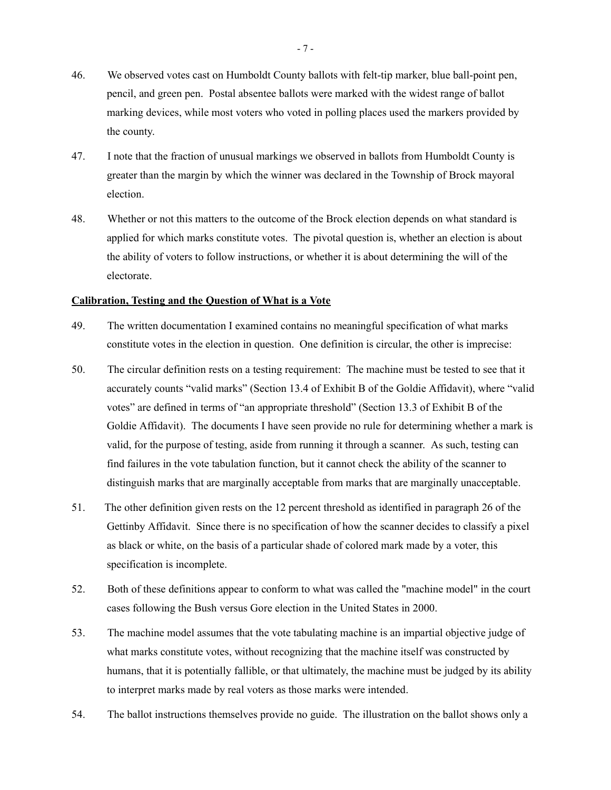- 46. We observed votes cast on Humboldt County ballots with felt-tip marker, blue ball-point pen, pencil, and green pen. Postal absentee ballots were marked with the widest range of ballot marking devices, while most voters who voted in polling places used the markers provided by the county.
- 47. I note that the fraction of unusual markings we observed in ballots from Humboldt County is greater than the margin by which the winner was declared in the Township of Brock mayoral election.
- 48. Whether or not this matters to the outcome of the Brock election depends on what standard is applied for which marks constitute votes. The pivotal question is, whether an election is about the ability of voters to follow instructions, or whether it is about determining the will of the electorate.

#### **Calibration, Testing and the Question of What is a Vote**

- 49. The written documentation I examined contains no meaningful specification of what marks constitute votes in the election in question. One definition is circular, the other is imprecise:
- 50. The circular definition rests on a testing requirement: The machine must be tested to see that it accurately counts "valid marks" (Section 13.4 of Exhibit B of the Goldie Affidavit), where "valid votes" are defined in terms of "an appropriate threshold" (Section 13.3 of Exhibit B of the Goldie Affidavit). The documents I have seen provide no rule for determining whether a mark is valid, for the purpose of testing, aside from running it through a scanner. As such, testing can find failures in the vote tabulation function, but it cannot check the ability of the scanner to distinguish marks that are marginally acceptable from marks that are marginally unacceptable.
- 51. The other definition given rests on the 12 percent threshold as identified in paragraph 26 of the Gettinby Affidavit. Since there is no specification of how the scanner decides to classify a pixel as black or white, on the basis of a particular shade of colored mark made by a voter, this specification is incomplete.
- 52. Both of these definitions appear to conform to what was called the "machine model" in the court cases following the Bush versus Gore election in the United States in 2000.
- 53. The machine model assumes that the vote tabulating machine is an impartial objective judge of what marks constitute votes, without recognizing that the machine itself was constructed by humans, that it is potentially fallible, or that ultimately, the machine must be judged by its ability to interpret marks made by real voters as those marks were intended.
- 54. The ballot instructions themselves provide no guide. The illustration on the ballot shows only a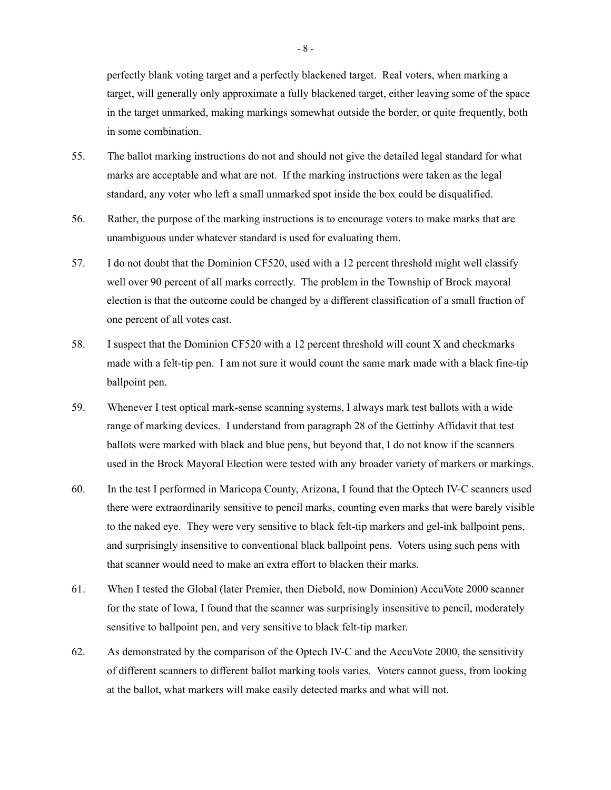perfectly blank voting target and a perfectly blackened target. Real voters, when marking a target, will generally only approximate a fully blackened target, either leaving some of the space in the target unmarked, making markings somewhat outside the border, or quite frequently, both in some combination.

- 55. The ballot marking instructions do not and should not give the detailed legal standard for what marks are acceptable and what are not. If the marking instructions were taken as the legal standard, any voter who left a small unmarked spot inside the box could be disqualified.
- 56. Rather, the purpose of the marking instructions is to encourage voters to make marks that are unambiguous under whatever standard is used for evaluating them.
- 57. I do not doubt that the Dominion CF520, used with a 12 percent threshold might well classify well over 90 percent of all marks correctly. The problem in the Township of Brock mayoral election is that the outcome could be changed by a different classification of a small fraction of one percent of all votes cast.
- 58. I suspect that the Dominion CF520 with a 12 percent threshold will count X and checkmarks made with a felt-tip pen. I am not sure it would count the same mark made with a black fine-tip ballpoint pen.
- 59. Whenever I test optical mark-sense scanning systems, I always mark test ballots with a wide range of marking devices. I understand from paragraph 28 of the Gettinby Affidavit that test ballots were marked with black and blue pens, but beyond that, I do not know if the scanners used in the Brock Mayoral Election were tested with any broader variety of markers or markings.
- 60. In the test I performed in Maricopa County, Arizona, I found that the Optech IV-C scanners used there were extraordinarily sensitive to pencil marks, counting even marks that were barely visible to the naked eye. They were very sensitive to black felt-tip markers and gel-ink ballpoint pens, and surprisingly insensitive to conventional black ballpoint pens. Voters using such pens with that scanner would need to make an extra effort to blacken their marks.
- 61. When I tested the Global (later Premier, then Diebold, now Dominion) AccuVote 2000 scanner for the state of Iowa, I found that the scanner was surprisingly insensitive to pencil, moderately sensitive to ballpoint pen, and very sensitive to black felt-tip marker.
- 62. As demonstrated by the comparison of the Optech IV-C and the AccuVote 2000, the sensitivity of different scanners to different ballot marking tools varies. Voters cannot guess, from looking at the ballot, what markers will make easily detected marks and what will not.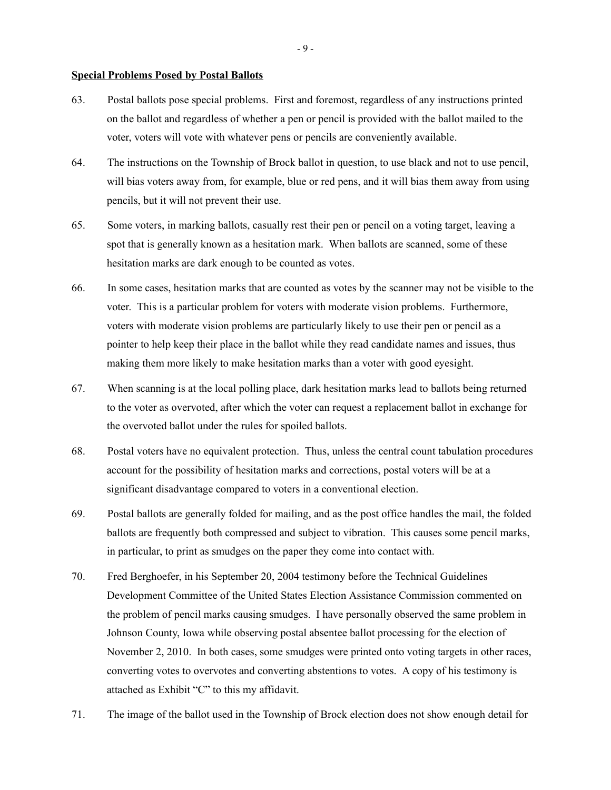### **Special Problems Posed by Postal Ballots**

- 63. Postal ballots pose special problems. First and foremost, regardless of any instructions printed on the ballot and regardless of whether a pen or pencil is provided with the ballot mailed to the voter, voters will vote with whatever pens or pencils are conveniently available.
- 64. The instructions on the Township of Brock ballot in question, to use black and not to use pencil, will bias voters away from, for example, blue or red pens, and it will bias them away from using pencils, but it will not prevent their use.
- 65. Some voters, in marking ballots, casually rest their pen or pencil on a voting target, leaving a spot that is generally known as a hesitation mark. When ballots are scanned, some of these hesitation marks are dark enough to be counted as votes.
- 66. In some cases, hesitation marks that are counted as votes by the scanner may not be visible to the voter. This is a particular problem for voters with moderate vision problems. Furthermore, voters with moderate vision problems are particularly likely to use their pen or pencil as a pointer to help keep their place in the ballot while they read candidate names and issues, thus making them more likely to make hesitation marks than a voter with good eyesight.
- 67. When scanning is at the local polling place, dark hesitation marks lead to ballots being returned to the voter as overvoted, after which the voter can request a replacement ballot in exchange for the overvoted ballot under the rules for spoiled ballots.
- 68. Postal voters have no equivalent protection. Thus, unless the central count tabulation procedures account for the possibility of hesitation marks and corrections, postal voters will be at a significant disadvantage compared to voters in a conventional election.
- 69. Postal ballots are generally folded for mailing, and as the post office handles the mail, the folded ballots are frequently both compressed and subject to vibration. This causes some pencil marks, in particular, to print as smudges on the paper they come into contact with.
- 70. Fred Berghoefer, in his September 20, 2004 testimony before the Technical Guidelines Development Committee of the United States Election Assistance Commission commented on the problem of pencil marks causing smudges. I have personally observed the same problem in Johnson County, Iowa while observing postal absentee ballot processing for the election of November 2, 2010. In both cases, some smudges were printed onto voting targets in other races, converting votes to overvotes and converting abstentions to votes. A copy of his testimony is attached as Exhibit "C" to this my affidavit.
- 71. The image of the ballot used in the Township of Brock election does not show enough detail for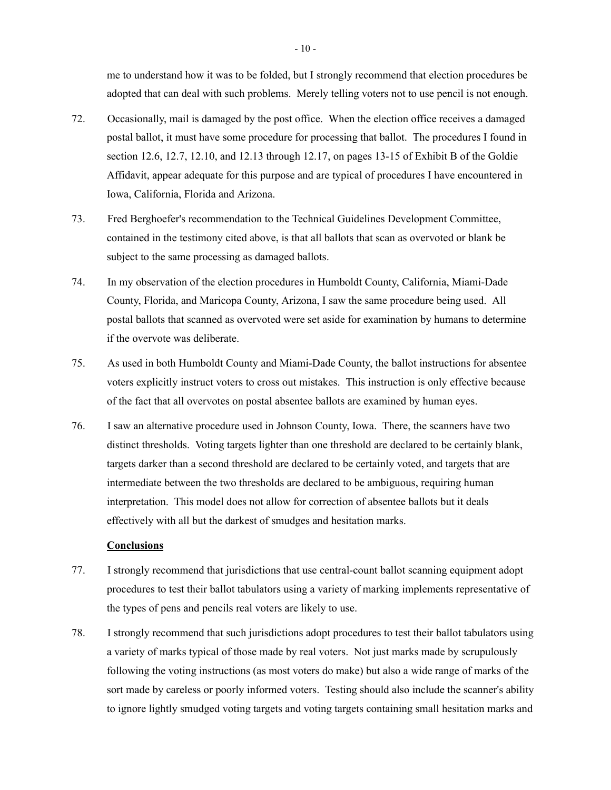me to understand how it was to be folded, but I strongly recommend that election procedures be adopted that can deal with such problems. Merely telling voters not to use pencil is not enough.

- 72. Occasionally, mail is damaged by the post office. When the election office receives a damaged postal ballot, it must have some procedure for processing that ballot. The procedures I found in section 12.6, 12.7, 12.10, and 12.13 through 12.17, on pages 13-15 of Exhibit B of the Goldie Affidavit, appear adequate for this purpose and are typical of procedures I have encountered in Iowa, California, Florida and Arizona.
- 73. Fred Berghoefer's recommendation to the Technical Guidelines Development Committee, contained in the testimony cited above, is that all ballots that scan as overvoted or blank be subject to the same processing as damaged ballots.
- 74. In my observation of the election procedures in Humboldt County, California, Miami-Dade County, Florida, and Maricopa County, Arizona, I saw the same procedure being used. All postal ballots that scanned as overvoted were set aside for examination by humans to determine if the overvote was deliberate.
- 75. As used in both Humboldt County and Miami-Dade County, the ballot instructions for absentee voters explicitly instruct voters to cross out mistakes. This instruction is only effective because of the fact that all overvotes on postal absentee ballots are examined by human eyes.
- 76. I saw an alternative procedure used in Johnson County, Iowa. There, the scanners have two distinct thresholds. Voting targets lighter than one threshold are declared to be certainly blank, targets darker than a second threshold are declared to be certainly voted, and targets that are intermediate between the two thresholds are declared to be ambiguous, requiring human interpretation. This model does not allow for correction of absentee ballots but it deals effectively with all but the darkest of smudges and hesitation marks.

# **Conclusions**

- 77. I strongly recommend that jurisdictions that use central-count ballot scanning equipment adopt procedures to test their ballot tabulators using a variety of marking implements representative of the types of pens and pencils real voters are likely to use.
- 78. I strongly recommend that such jurisdictions adopt procedures to test their ballot tabulators using a variety of marks typical of those made by real voters. Not just marks made by scrupulously following the voting instructions (as most voters do make) but also a wide range of marks of the sort made by careless or poorly informed voters. Testing should also include the scanner's ability to ignore lightly smudged voting targets and voting targets containing small hesitation marks and